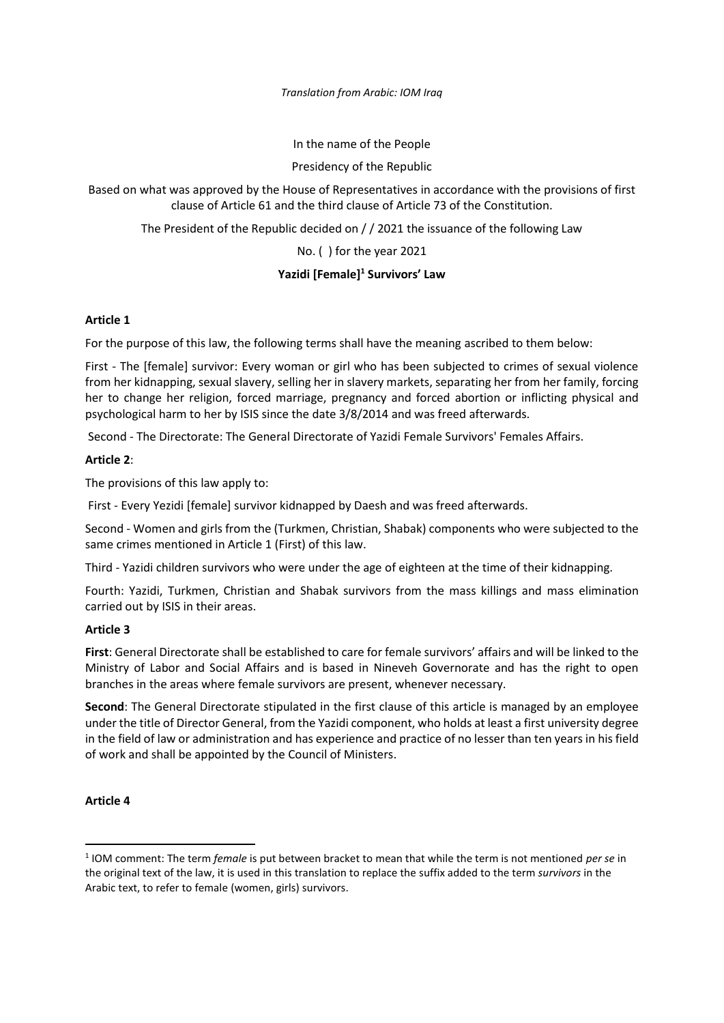*Translation from Arabic: IOM Iraq*

In the name of the People

Presidency of the Republic

Based on what was approved by the House of Representatives in accordance with the provisions of first clause of Article 61 and the third clause of Article 73 of the Constitution.

The President of the Republic decided on / / 2021 the issuance of the following Law

No. ( ) for the year 2021

# **Yazidi [Female] <sup>1</sup> Survivors' Law**

# **Article 1**

For the purpose of this law, the following terms shall have the meaning ascribed to them below:

First - The [female] survivor: Every woman or girl who has been subjected to crimes of sexual violence from her kidnapping, sexual slavery, selling her in slavery markets, separating her from her family, forcing her to change her religion, forced marriage, pregnancy and forced abortion or inflicting physical and psychological harm to her by ISIS since the date 3/8/2014 and was freed afterwards.

Second - The Directorate: The General Directorate of Yazidi Female Survivors' Females Affairs.

# **Article 2**:

The provisions of this law apply to:

First - Every Yezidi [female] survivor kidnapped by Daesh and was freed afterwards.

Second - Women and girls from the (Turkmen, Christian, Shabak) components who were subjected to the same crimes mentioned in Article 1 (First) of this law.

Third - Yazidi children survivors who were under the age of eighteen at the time of their kidnapping.

Fourth: Yazidi, Turkmen, Christian and Shabak survivors from the mass killings and mass elimination carried out by ISIS in their areas.

# **Article 3**

**First**: General Directorate shall be established to care for female survivors' affairs and will be linked to the Ministry of Labor and Social Affairs and is based in Nineveh Governorate and has the right to open branches in the areas where female survivors are present, whenever necessary.

**Second**: The General Directorate stipulated in the first clause of this article is managed by an employee under the title of Director General, from the Yazidi component, who holds at least a first university degree in the field of law or administration and has experience and practice of no lesser than ten years in his field of work and shall be appointed by the Council of Ministers.

# **Article 4**

<sup>1</sup> IOM comment: The term *female* is put between bracket to mean that while the term is not mentioned *per se* in the original text of the law, it is used in this translation to replace the suffix added to the term *survivors* in the Arabic text, to refer to female (women, girls) survivors.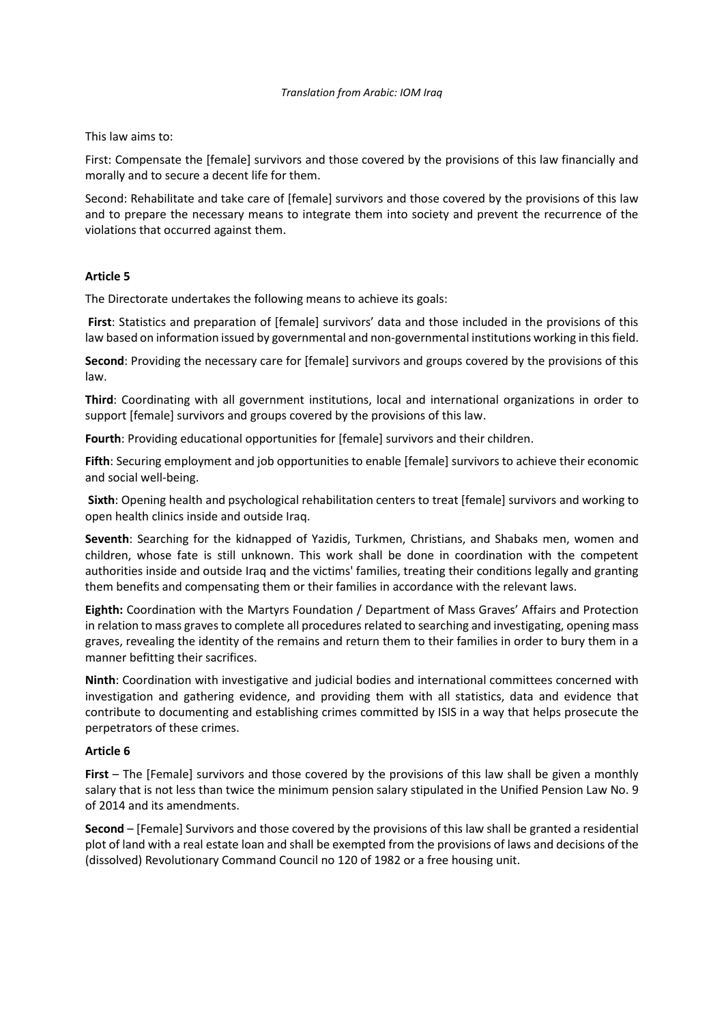This law aims to:

First: Compensate the [female] survivors and those covered by the provisions of this law financially and morally and to secure a decent life for them.

Second: Rehabilitate and take care of [female] survivors and those covered by the provisions of this law and to prepare the necessary means to integrate them into society and prevent the recurrence of the violations that occurred against them.

### **Article 5**

The Directorate undertakes the following means to achieve its goals:

**First**: Statistics and preparation of [female] survivors' data and those included in the provisions of this law based on information issued by governmental and non-governmental institutions working in this field.

**Second**: Providing the necessary care for [female] survivors and groups covered by the provisions of this law.

**Third**: Coordinating with all government institutions, local and international organizations in order to support [female] survivors and groups covered by the provisions of this law.

**Fourth**: Providing educational opportunities for [female] survivors and their children.

**Fifth**: Securing employment and job opportunities to enable [female] survivors to achieve their economic and social well-being.

**Sixth**: Opening health and psychological rehabilitation centers to treat [female] survivors and working to open health clinics inside and outside Iraq.

**Seventh**: Searching for the kidnapped of Yazidis, Turkmen, Christians, and Shabaks men, women and children, whose fate is still unknown. This work shall be done in coordination with the competent authorities inside and outside Iraq and the victims' families, treating their conditions legally and granting them benefits and compensating them or their families in accordance with the relevant laws.

**Eighth:** Coordination with the Martyrs Foundation / Department of Mass Graves' Affairs and Protection in relation to mass graves to complete all procedures related to searching and investigating, opening mass graves, revealing the identity of the remains and return them to their families in order to bury them in a manner befitting their sacrifices.

**Ninth**: Coordination with investigative and judicial bodies and international committees concerned with investigation and gathering evidence, and providing them with all statistics, data and evidence that contribute to documenting and establishing crimes committed by ISIS in a way that helps prosecute the perpetrators of these crimes.

### **Article 6**

**First** – The [Female] survivors and those covered by the provisions of this law shall be given a monthly salary that is not less than twice the minimum pension salary stipulated in the Unified Pension Law No. 9 of 2014 and its amendments.

**Second** – [Female] Survivors and those covered by the provisions of this law shall be granted a residential plot of land with a real estate loan and shall be exempted from the provisions of laws and decisions of the (dissolved) Revolutionary Command Council no 120 of 1982 or a free housing unit.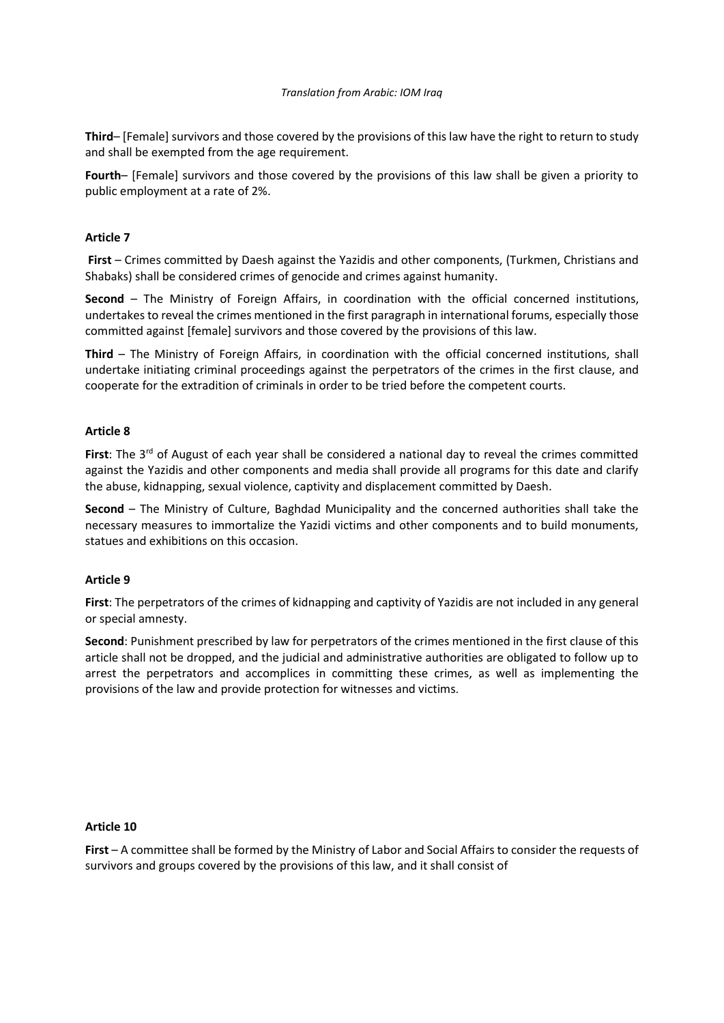### *Translation from Arabic: IOM Iraq*

**Third**– [Female] survivors and those covered by the provisions of this law have the right to return to study and shall be exempted from the age requirement.

**Fourth**– [Female] survivors and those covered by the provisions of this law shall be given a priority to public employment at a rate of 2%.

# **Article 7**

**First** – Crimes committed by Daesh against the Yazidis and other components, (Turkmen, Christians and Shabaks) shall be considered crimes of genocide and crimes against humanity.

**Second** – The Ministry of Foreign Affairs, in coordination with the official concerned institutions, undertakes to reveal the crimes mentioned in the first paragraph in international forums, especially those committed against [female] survivors and those covered by the provisions of this law.

**Third** – The Ministry of Foreign Affairs, in coordination with the official concerned institutions, shall undertake initiating criminal proceedings against the perpetrators of the crimes in the first clause, and cooperate for the extradition of criminals in order to be tried before the competent courts.

### **Article 8**

First: The 3<sup>rd</sup> of August of each year shall be considered a national day to reveal the crimes committed against the Yazidis and other components and media shall provide all programs for this date and clarify the abuse, kidnapping, sexual violence, captivity and displacement committed by Daesh.

**Second** – The Ministry of Culture, Baghdad Municipality and the concerned authorities shall take the necessary measures to immortalize the Yazidi victims and other components and to build monuments, statues and exhibitions on this occasion.

### **Article 9**

**First**: The perpetrators of the crimes of kidnapping and captivity of Yazidis are not included in any general or special amnesty.

**Second**: Punishment prescribed by law for perpetrators of the crimes mentioned in the first clause of this article shall not be dropped, and the judicial and administrative authorities are obligated to follow up to arrest the perpetrators and accomplices in committing these crimes, as well as implementing the provisions of the law and provide protection for witnesses and victims .

### **Article 10**

**First** – A committee shall be formed by the Ministry of Labor and Social Affairs to consider the requests of survivors and groups covered by the provisions of this law, and it shall consist of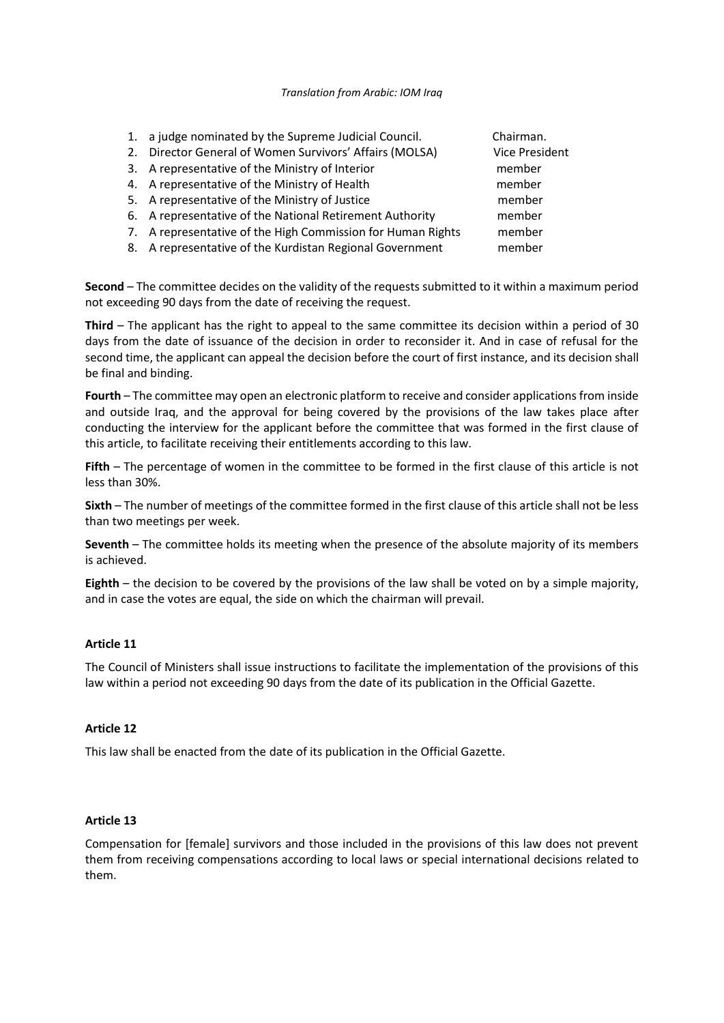### *Translation from Arabic: IOM Iraq*

- 1. a judge nominated by the Supreme Judicial Council. Chairman.
- 2. Director General of Women Survivors' Affairs (MOLSA) Vice President
- 3. A representative of the Ministry of Interior member
- 4. A representative of the Ministry of Health member
- 5. A representative of the Ministry of Justice member
- 6. A representative of the National Retirement Authority member
- 7. A representative of the High Commission for Human Rights member
- 8. A representative of the Kurdistan Regional Government member

**Second** – The committee decides on the validity of the requests submitted to it within a maximum period not exceeding 90 days from the date of receiving the request.

**Third** – The applicant has the right to appeal to the same committee its decision within a period of 30 days from the date of issuance of the decision in order to reconsider it. And in case of refusal for the second time, the applicant can appeal the decision before the court of first instance, and its decision shall be final and binding.

**Fourth** – The committee may open an electronic platform to receive and consider applications from inside and outside Iraq, and the approval for being covered by the provisions of the law takes place after conducting the interview for the applicant before the committee that was formed in the first clause of this article, to facilitate receiving their entitlements according to this law.

**Fifth** – The percentage of women in the committee to be formed in the first clause of this article is not less than 30%.

**Sixth** – The number of meetings of the committee formed in the first clause of this article shall not be less than two meetings per week.

**Seventh** – The committee holds its meeting when the presence of the absolute majority of its members is achieved.

**Eighth** – the decision to be covered by the provisions of the law shall be voted on by a simple majority, and in case the votes are equal, the side on which the chairman will prevail.

# **Article 11**

The Council of Ministers shall issue instructions to facilitate the implementation of the provisions of this law within a period not exceeding 90 days from the date of its publication in the Official Gazette.

# **Article 12**

This law shall be enacted from the date of its publication in the Official Gazette.

### **Article 13**

Compensation for [female] survivors and those included in the provisions of this law does not prevent them from receiving compensations according to local laws or special international decisions related to them.